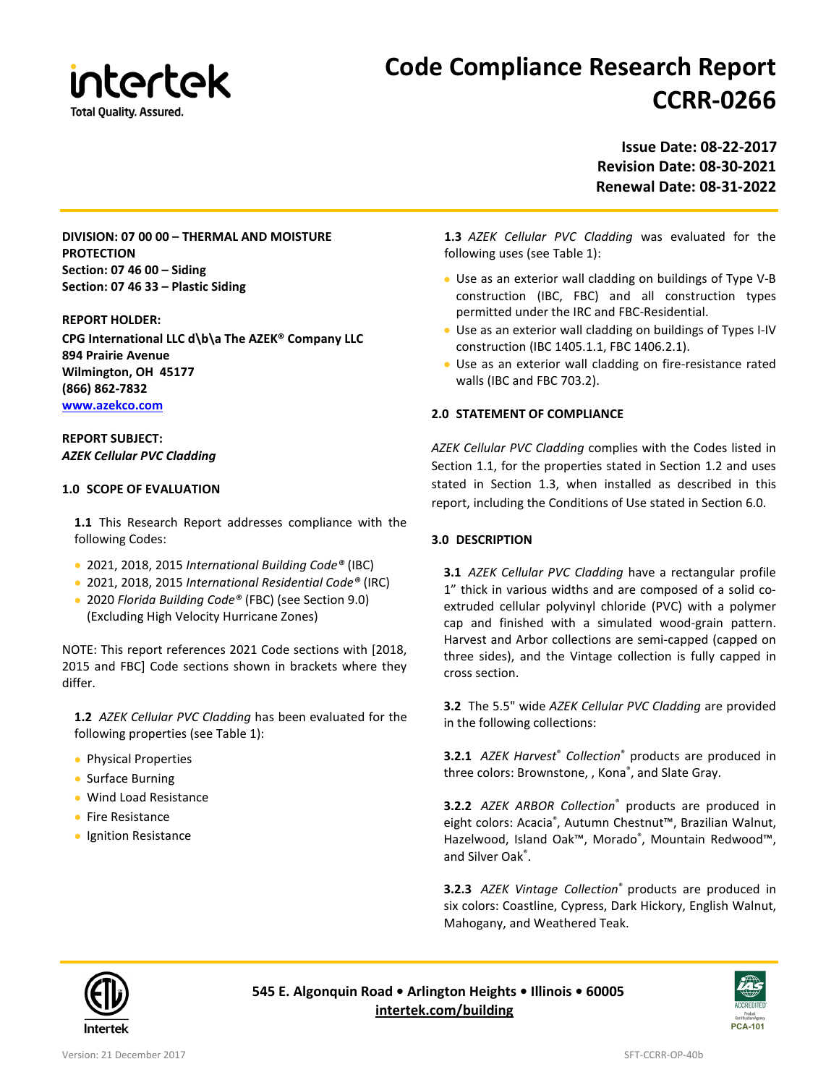

# **Code Compliance Research Report CCRR-0266**

**Issue Date: 08-22-2017 Revision Date: 08-30-2021 Renewal Date: 08-31-2022**

**DIVISION: 07 00 00 – THERMAL AND MOISTURE PROTECTION Section: 07 46 00 – Siding Section: 07 46 33 – Plastic Siding**

#### **REPORT HOLDER:**

**CPG International LLC d\b\a The AZEK® Company LLC 894 Prairie Avenue Wilmington, OH 45177 (866) 862-7832 [www.azekco.com](http://www.azekco.com/)**

## **REPORT SUBJECT:** *AZEK Cellular PVC Cladding*

#### **1.0 SCOPE OF EVALUATION**

**1.1** This Research Report addresses compliance with the following Codes:

- 2021, 2018, 2015 *International Building Code®* (IBC)
- 2021, 2018, 2015 *International Residential Code®* (IRC)
- 2020 *Florida Building Code®* (FBC) (see Section 9.0) (Excluding High Velocity Hurricane Zones)

NOTE: This report references 2021 Code sections with [2018, 2015 and FBC] Code sections shown in brackets where they differ.

**1.2** *AZEK Cellular PVC Cladding* has been evaluated for the following properties (see Table 1):

- Physical Properties
- Surface Burning
- Wind Load Resistance
- Fire Resistance
- Ignition Resistance

**1.3** *AZEK Cellular PVC Cladding* was evaluated for the following uses (see Table 1):

- Use as an exterior wall cladding on buildings of Type V-B construction (IBC, FBC) and all construction types permitted under the IRC and FBC-Residential.
- Use as an exterior wall cladding on buildings of Types I-IV construction (IBC 1405.1.1, FBC 1406.2.1).
- Use as an exterior wall cladding on fire-resistance rated walls (IBC and FBC 703.2).

#### **2.0 STATEMENT OF COMPLIANCE**

*AZEK Cellular PVC Cladding* complies with the Codes listed in Section 1.1, for the properties stated in Section 1.2 and uses stated in Section 1.3, when installed as described in this report, including the Conditions of Use stated in Section 6.0.

#### **3.0 DESCRIPTION**

**3.1** *AZEK Cellular PVC Cladding* have a rectangular profile 1" thick in various widths and are composed of a solid coextruded cellular polyvinyl chloride (PVC) with a polymer cap and finished with a simulated wood-grain pattern. Harvest and Arbor collections are semi-capped (capped on three sides), and the Vintage collection is fully capped in cross section.

**3.2** The 5.5" wide *AZEK Cellular PVC Cladding* are provided in the following collections:

**3.2.1** *AZEK Harvest*® *Collection*® products are produced in three colors: Brownstone, , Kona® , and Slate Gray.

**3.2.2** *AZEK ARBOR Collection*® products are produced in eight colors: Acacia®, Autumn Chestnut™, Brazilian Walnut, Hazelwood, Island Oak™, Morado®, Mountain Redwood™, and Silver Oak<sup>®</sup>.

**3.2.3** *AZEK Vintage Collection*® products are produced in six colors: Coastline, Cypress, Dark Hickory, English Walnut, Mahogany, and Weathered Teak.



**545 E. Algonquin Road • Arlington Heights • Illinois • 60005 [intertek.com/building](http://www.intertek.com/building/)**

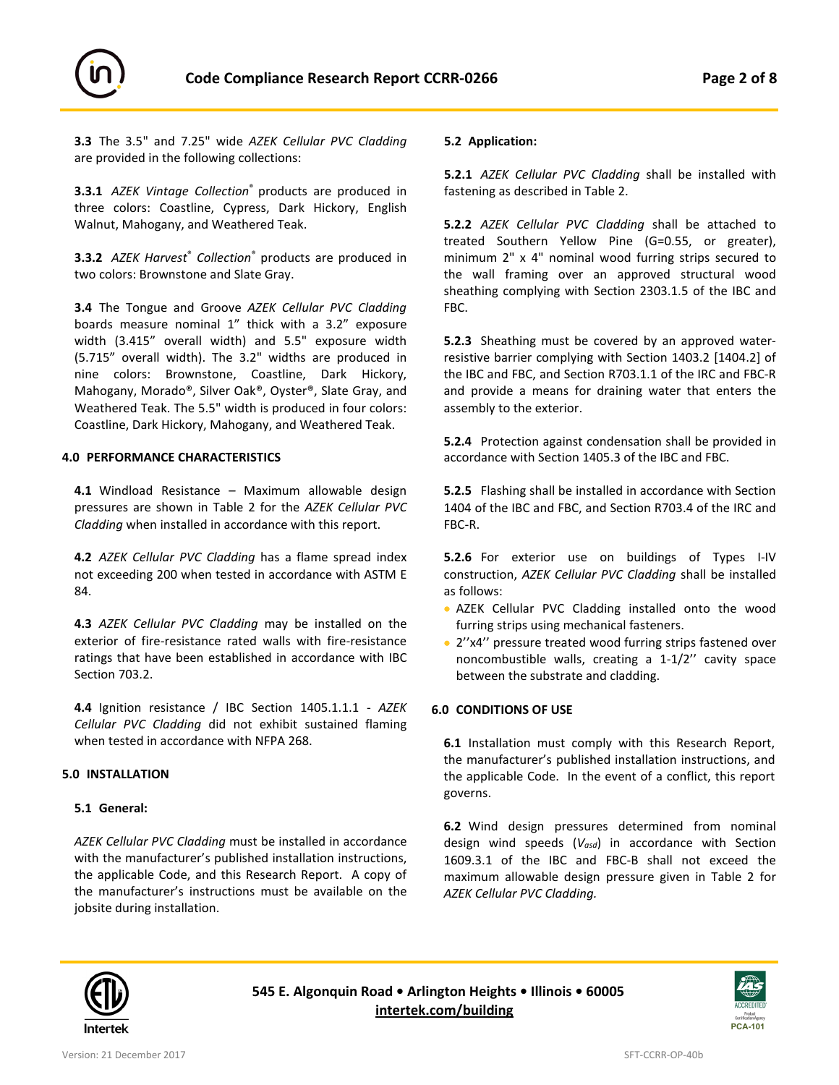



**3.3** The 3.5" and 7.25" wide *AZEK Cellular PVC Cladding*  are provided in the following collections:

**3.3.1** *AZEK Vintage Collection*® products are produced in three colors: Coastline, Cypress, Dark Hickory, English Walnut, Mahogany, and Weathered Teak.

**3.3.2** *AZEK Harvest*® *Collection*® products are produced in two colors: Brownstone and Slate Gray.

**3.4** The Tongue and Groove *AZEK Cellular PVC Cladding*  boards measure nominal 1" thick with a 3.2" exposure width (3.415" overall width) and 5.5" exposure width (5.715" overall width). The 3.2" widths are produced in nine colors: Brownstone, Coastline, Dark Hickory, Mahogany, Morado®, Silver Oak®, Oyster®, Slate Gray, and Weathered Teak. The 5.5" width is produced in four colors: Coastline, Dark Hickory, Mahogany, and Weathered Teak.

#### **4.0 PERFORMANCE CHARACTERISTICS**

**4.1** Windload Resistance – Maximum allowable design pressures are shown in Table 2 for the *AZEK Cellular PVC Cladding* when installed in accordance with this report.

**4.2** *AZEK Cellular PVC Cladding* has a flame spread index not exceeding 200 when tested in accordance with ASTM E 84.

**4.3** *AZEK Cellular PVC Cladding* may be installed on the exterior of fire-resistance rated walls with fire-resistance ratings that have been established in accordance with IBC Section 703.2.

**4.4** Ignition resistance / IBC Section 1405.1.1.1 - *AZEK Cellular PVC Cladding* did not exhibit sustained flaming when tested in accordance with NFPA 268.

## **5.0 INSTALLATION**

## **5.1 General:**

*AZEK Cellular PVC Cladding* must be installed in accordance with the manufacturer's published installation instructions, the applicable Code, and this Research Report. A copy of the manufacturer's instructions must be available on the jobsite during installation.

#### **5.2 Application:**

**5.2.1** *AZEK Cellular PVC Cladding* shall be installed with fastening as described in Table 2.

**5.2.2** *AZEK Cellular PVC Cladding* shall be attached to treated Southern Yellow Pine (G=0.55, or greater), minimum 2" x 4" nominal wood furring strips secured to the wall framing over an approved structural wood sheathing complying with Section 2303.1.5 of the IBC and FBC.

**5.2.3** Sheathing must be covered by an approved waterresistive barrier complying with Section 1403.2 [1404.2] of the IBC and FBC, and Section R703.1.1 of the IRC and FBC-R and provide a means for draining water that enters the assembly to the exterior.

**5.2.4** Protection against condensation shall be provided in accordance with Section 1405.3 of the IBC and FBC.

**5.2.5** Flashing shall be installed in accordance with Section 1404 of the IBC and FBC, and Section R703.4 of the IRC and FBC-R.

**5.2.6** For exterior use on buildings of Types I-IV construction, *AZEK Cellular PVC Cladding* shall be installed as follows:

- AZEK Cellular PVC Cladding installed onto the wood furring strips using mechanical fasteners.
- 2''x4'' pressure treated wood furring strips fastened over noncombustible walls, creating a 1-1/2'' cavity space between the substrate and cladding.

## **6.0 CONDITIONS OF USE**

**6.1** Installation must comply with this Research Report, the manufacturer's published installation instructions, and the applicable Code. In the event of a conflict, this report governs.

**6.2** Wind design pressures determined from nominal design wind speeds (*Vasd*) in accordance with Section 1609.3.1 of the IBC and FBC-B shall not exceed the maximum allowable design pressure given in Table 2 for *AZEK Cellular PVC Cladding.*



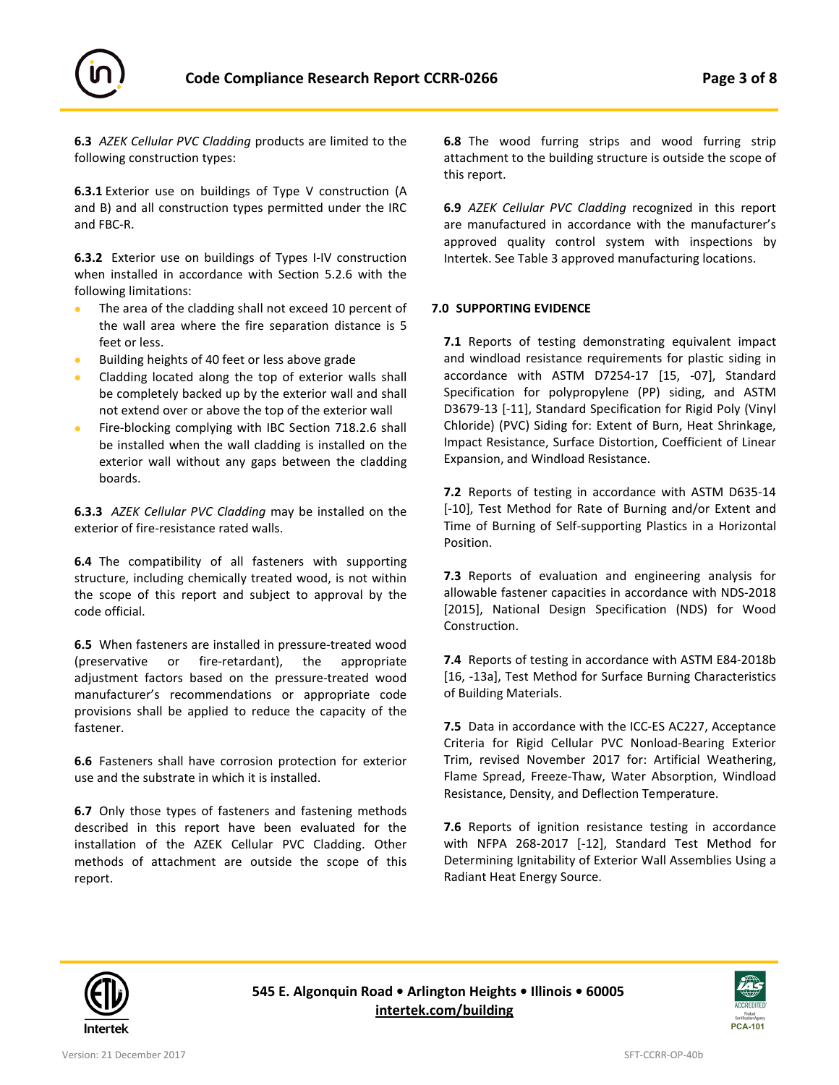

**6.3** *AZEK Cellular PVC Cladding* products are limited to the following construction types:

**6.3.1** Exterior use on buildings of Type V construction (A and B) and all construction types permitted under the IRC and FBC-R.

**6.3.2** Exterior use on buildings of Types I-IV construction when installed in accordance with Section 5.2.6 with the following limitations:

- The area of the cladding shall not exceed 10 percent of the wall area where the fire separation distance is 5 feet or less.
- Building heights of 40 feet or less above grade
- Cladding located along the top of exterior walls shall be completely backed up by the exterior wall and shall not extend over or above the top of the exterior wall
- Fire-blocking complying with IBC Section 718.2.6 shall be installed when the wall cladding is installed on the exterior wall without any gaps between the cladding boards.

**6.3.3** *AZEK Cellular PVC Cladding* may be installed on the exterior of fire-resistance rated walls.

**6.4** The compatibility of all fasteners with supporting structure, including chemically treated wood, is not within the scope of this report and subject to approval by the code official.

**6.5** When fasteners are installed in pressure-treated wood (preservative or fire-retardant), the appropriate adjustment factors based on the pressure-treated wood manufacturer's recommendations or appropriate code provisions shall be applied to reduce the capacity of the fastener.

**6.6** Fasteners shall have corrosion protection for exterior use and the substrate in which it is installed.

**6.7** Only those types of fasteners and fastening methods described in this report have been evaluated for the installation of the AZEK Cellular PVC Cladding. Other methods of attachment are outside the scope of this report.

**6.8** The wood furring strips and wood furring strip attachment to the building structure is outside the scope of this report.

**6.9** *AZEK Cellular PVC Cladding* recognized in this report are manufactured in accordance with the manufacturer's approved quality control system with inspections by Intertek. See Table 3 approved manufacturing locations.

## **7.0 SUPPORTING EVIDENCE**

**7.1** Reports of testing demonstrating equivalent impact and windload resistance requirements for plastic siding in accordance with ASTM D7254-17 [15, -07], Standard Specification for polypropylene (PP) siding, and ASTM D3679-13 [-11], Standard Specification for Rigid Poly (Vinyl Chloride) (PVC) Siding for: Extent of Burn, Heat Shrinkage, Impact Resistance, Surface Distortion, Coefficient of Linear Expansion, and Windload Resistance.

**7.2** Reports of testing in accordance with ASTM D635-14 [-10], Test Method for Rate of Burning and/or Extent and Time of Burning of Self-supporting Plastics in a Horizontal Position.

**7.3** Reports of evaluation and engineering analysis for allowable fastener capacities in accordance with NDS-2018 [2015], National Design Specification (NDS) for Wood Construction.

**7.4** Reports of testing in accordance with ASTM E84-2018b [16, -13a], Test Method for Surface Burning Characteristics of Building Materials.

**7.5** Data in accordance with the ICC-ES AC227, Acceptance Criteria for Rigid Cellular PVC Nonload-Bearing Exterior Trim, revised November 2017 for: Artificial Weathering, Flame Spread, Freeze-Thaw, Water Absorption, Windload Resistance, Density, and Deflection Temperature.

**7.6** Reports of ignition resistance testing in accordance with NFPA 268-2017 [-12], Standard Test Method for Determining Ignitability of Exterior Wall Assemblies Using a Radiant Heat Energy Source.



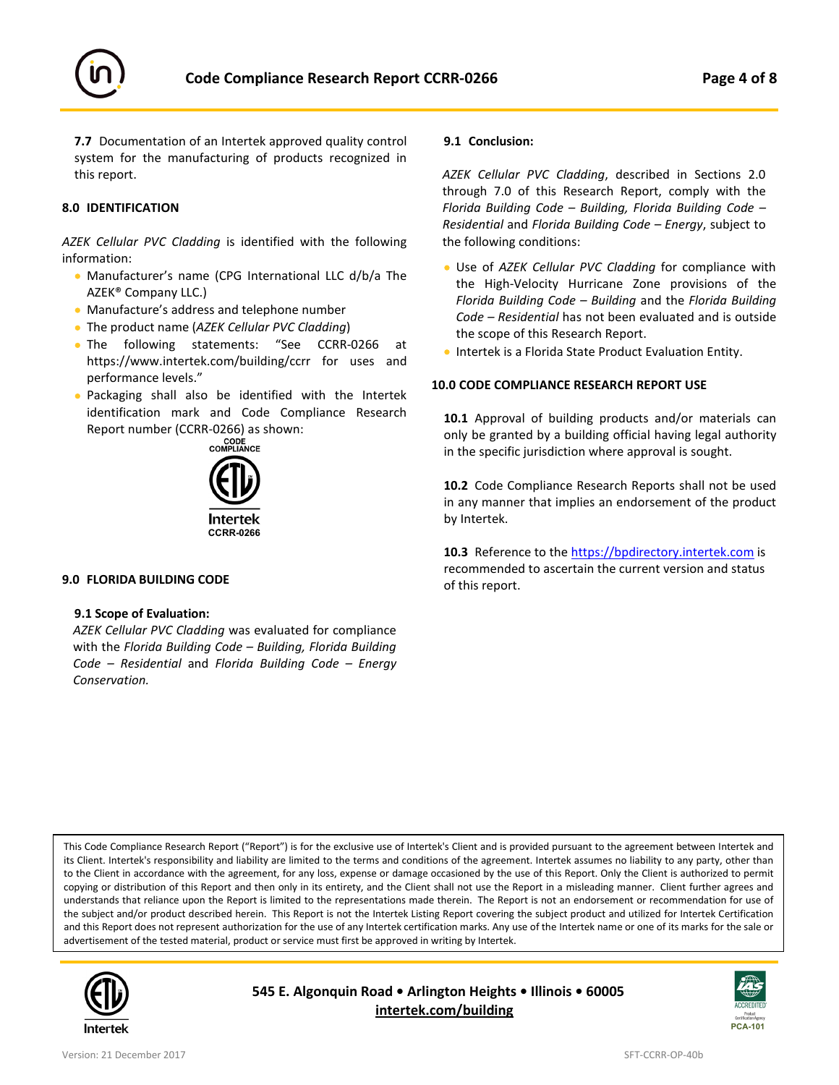



**7.7** Documentation of an Intertek approved quality control system for the manufacturing of products recognized in this report.

## **8.0 IDENTIFICATION**

*AZEK Cellular PVC Cladding* is identified with the following information:

- Manufacturer's name (CPG International LLC d/b/a The AZEK® Company LLC.)
- Manufacture's address and telephone number
- The product name (*AZEK Cellular PVC Cladding*)
- The following statements: "See CCRR-0266 at https://www.intertek.com/building/ccrr for uses and performance levels."
- Packaging shall also be identified with the Intertek identification mark and Code Compliance Research Report number (CCRR-0266) as shown:<br>cope<br>compliance



## **9.0 FLORIDA BUILDING CODE**

#### **9.1 Scope of Evaluation:**

*AZEK Cellular PVC Cladding* was evaluated for compliance with the *Florida Building Code – Building, Florida Building Code – Residential* and *Florida Building Code – Energy Conservation.*

## **9.1 Conclusion:**

*AZEK Cellular PVC Cladding*, described in Sections 2.0 through 7.0 of this Research Report, comply with the *Florida Building Code – Building, Florida Building Code – Residential* and *Florida Building Code – Energy*, subject to the following conditions:

- Use of *AZEK Cellular PVC Cladding* for compliance with the High-Velocity Hurricane Zone provisions of the *Florida Building Code – Building* and the *Florida Building Code – Residential* has not been evaluated and is outside the scope of this Research Report.
- Intertek is a Florida State Product Evaluation Entity.

## **10.0 CODE COMPLIANCE RESEARCH REPORT USE**

**10.1** Approval of building products and/or materials can only be granted by a building official having legal authority in the specific jurisdiction where approval is sought.

**10.2** Code Compliance Research Reports shall not be used in any manner that implies an endorsement of the product by Intertek.

**10.3** Reference to the [https://bpdirectory.intertek.com](https://whdirectory.intertek.com/Pages/DLP_Search.aspx) is recommended to ascertain the current version and status of this report.

This Code Compliance Research Report ("Report") is for the exclusive use of Intertek's Client and is provided pursuant to the agreement between Intertek and its Client. Intertek's responsibility and liability are limited to the terms and conditions of the agreement. Intertek assumes no liability to any party, other than to the Client in accordance with the agreement, for any loss, expense or damage occasioned by the use of this Report. Only the Client is authorized to permit copying or distribution of this Report and then only in its entirety, and the Client shall not use the Report in a misleading manner. Client further agrees and understands that reliance upon the Report is limited to the representations made therein. The Report is not an endorsement or recommendation for use of the subject and/or product described herein. This Report is not the Intertek Listing Report covering the subject product and utilized for Intertek Certification and this Report does not represent authorization for the use of any Intertek certification marks. Any use of the Intertek name or one of its marks for the sale or advertisement of the tested material, product or service must first be approved in writing by Intertek.



**545 E. Algonquin Road • Arlington Heights • Illinois • 60005 [intertek.com/building](http://www.intertek.com/building/)**

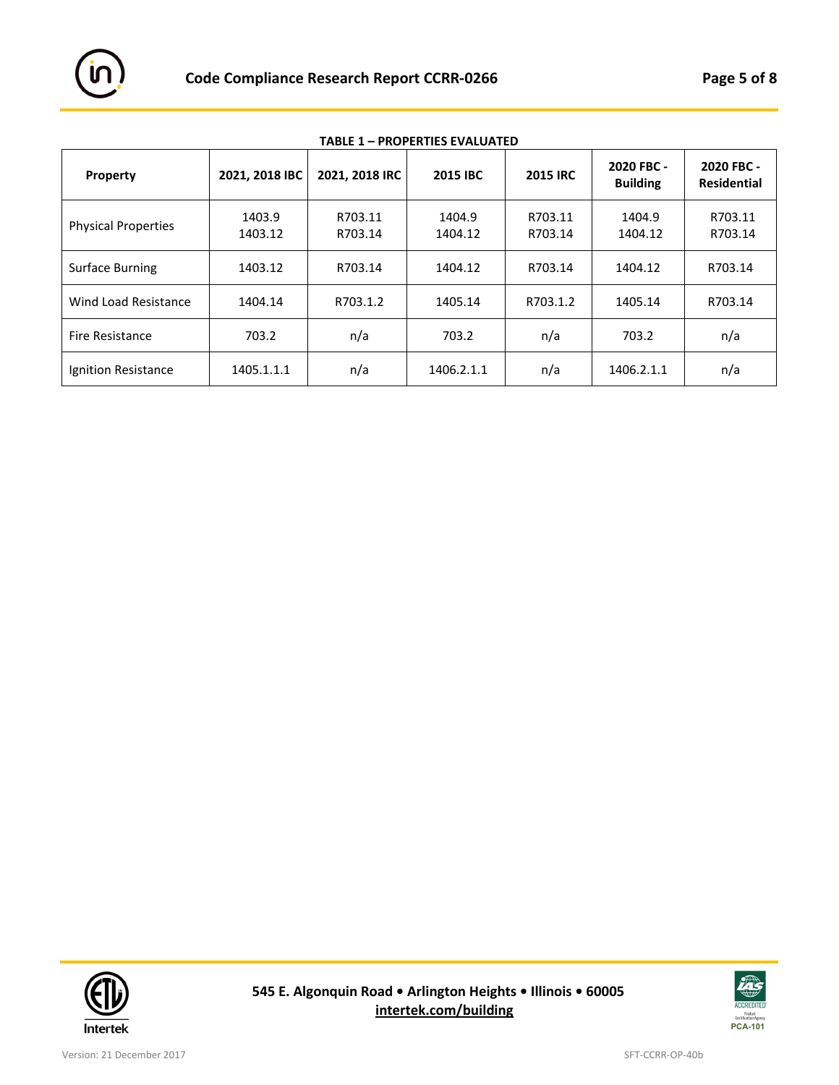

| Property                   | 2021, 2018 IBC    | 2021, 2018 IRC     | 2015 IBC          | <b>2015 IRC</b>    | 2020 FBC -<br><b>Building</b> | 2020 FBC -<br><b>Residential</b> |
|----------------------------|-------------------|--------------------|-------------------|--------------------|-------------------------------|----------------------------------|
| <b>Physical Properties</b> | 1403.9<br>1403.12 | R703.11<br>R703.14 | 1404.9<br>1404.12 | R703.11<br>R703.14 | 1404.9<br>1404.12             | R703.11<br>R703.14               |
| Surface Burning            | 1403.12           | R703.14            | 1404.12           | R703.14            | 1404.12                       | R703.14                          |
| Wind Load Resistance       | 1404.14           | R703.1.2           | 1405.14           | R703.1.2           | 1405.14                       | R703.14                          |
| <b>Fire Resistance</b>     | 703.2             | n/a                | 703.2             | n/a                | 703.2                         | n/a                              |
| Ignition Resistance        | 1405.1.1.1        | n/a                | 1406.2.1.1        | n/a                | 1406.2.1.1                    | n/a                              |

**TABLE 1 – PROPERTIES EVALUATED**



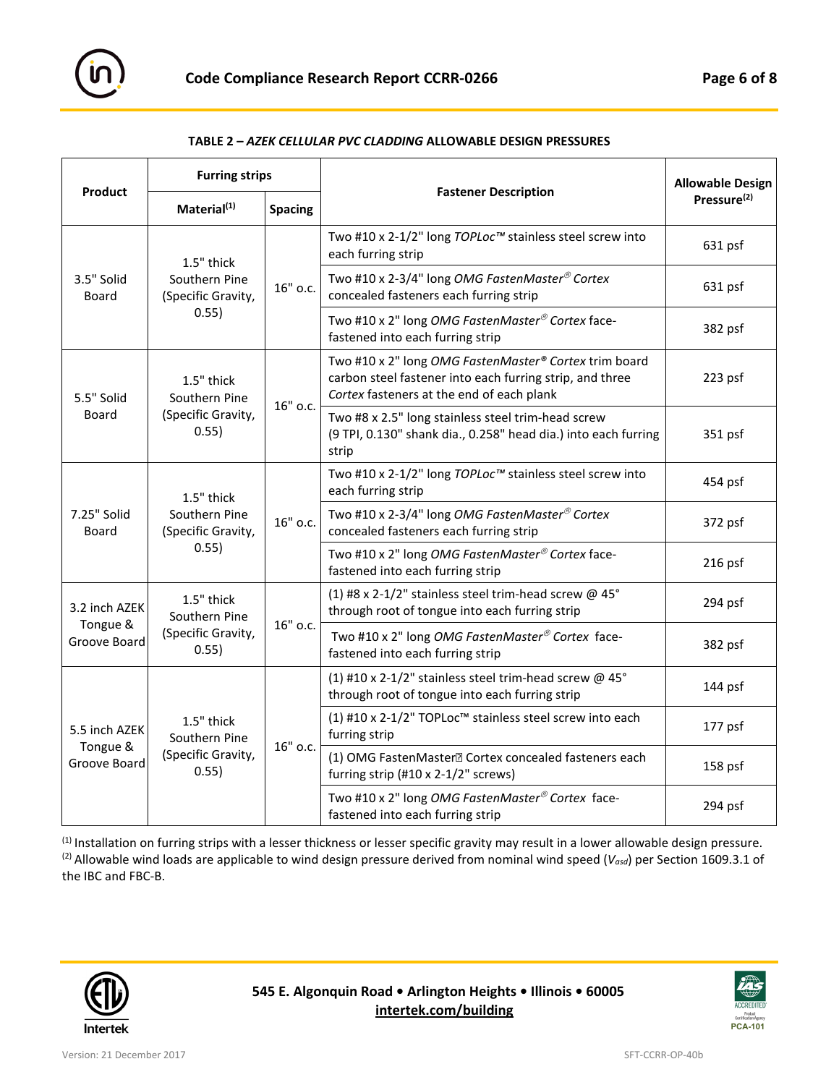

| TABLE 2 – AZEK CELLULAR PVC CLADDING ALLOWABLE DESIGN PRESSURES |  |  |  |  |  |
|-----------------------------------------------------------------|--|--|--|--|--|
|-----------------------------------------------------------------|--|--|--|--|--|

|                                           | <b>Furring strips</b>                                      |          |                                                                                                                                                                | <b>Allowable Design</b><br>Pressure <sup>(2)</sup> |
|-------------------------------------------|------------------------------------------------------------|----------|----------------------------------------------------------------------------------------------------------------------------------------------------------------|----------------------------------------------------|
| Product                                   | Material <sup>(1)</sup><br><b>Spacing</b>                  |          | <b>Fastener Description</b>                                                                                                                                    |                                                    |
| 3.5" Solid<br>Board                       | 1.5" thick<br>Southern Pine<br>(Specific Gravity,<br>0.55) | 16" o.c. | Two #10 x 2-1/2" long TOPLoc™ stainless steel screw into<br>each furring strip                                                                                 | 631 psf                                            |
|                                           |                                                            |          | Two #10 x 2-3/4" long OMG FastenMaster® Cortex<br>concealed fasteners each furring strip                                                                       | 631 psf                                            |
|                                           |                                                            |          | Two #10 x 2" long OMG FastenMaster® Cortex face-<br>fastened into each furring strip                                                                           | 382 psf                                            |
| 5.5" Solid<br>Board                       | 1.5" thick<br>Southern Pine<br>(Specific Gravity,<br>0.55) | 16" o.c. | Two #10 x 2" long OMG FastenMaster® Cortex trim board<br>carbon steel fastener into each furring strip, and three<br>Cortex fasteners at the end of each plank | 223 psf                                            |
|                                           |                                                            |          | Two #8 x 2.5" long stainless steel trim-head screw<br>(9 TPI, 0.130" shank dia., 0.258" head dia.) into each furring<br>strip                                  | 351 psf                                            |
| 7.25" Solid<br>Board                      | 1.5" thick<br>Southern Pine<br>(Specific Gravity,<br>0.55) | 16" o.c. | Two #10 x 2-1/2" long TOPLoc™ stainless steel screw into<br>each furring strip                                                                                 | 454 psf                                            |
|                                           |                                                            |          | Two #10 x 2-3/4" long OMG FastenMaster® Cortex<br>concealed fasteners each furring strip                                                                       | 372 psf                                            |
|                                           |                                                            |          | Two #10 x 2" long OMG FastenMaster® Cortex face-<br>fastened into each furring strip                                                                           | 216 psf                                            |
| 3.2 inch AZEK<br>Tongue &<br>Groove Board | 1.5" thick<br>Southern Pine<br>(Specific Gravity,<br>0.55) | 16" o.c. | (1) #8 x 2-1/2" stainless steel trim-head screw @ 45°<br>through root of tongue into each furring strip                                                        | 294 psf                                            |
|                                           |                                                            |          | Two #10 x 2" long OMG FastenMaster® Cortex face-<br>fastened into each furring strip                                                                           | 382 psf                                            |
| 5.5 inch AZEK<br>Tongue &<br>Groove Board | 1.5" thick<br>Southern Pine<br>(Specific Gravity,<br>0.55) | 16" o.c. | (1) #10 x 2-1/2" stainless steel trim-head screw @ 45°<br>through root of tongue into each furring strip                                                       | 144 psf                                            |
|                                           |                                                            |          | (1) #10 x 2-1/2" TOPLoc™ stainless steel screw into each<br>furring strip                                                                                      | 177 psf                                            |
|                                           |                                                            |          | (1) OMG FastenMaster <sup>n</sup> Cortex concealed fasteners each<br>furring strip (#10 x 2-1/2" screws)                                                       | 158 psf                                            |
|                                           |                                                            |          | Two #10 x 2" long OMG FastenMaster® Cortex face-<br>fastened into each furring strip                                                                           | 294 psf                                            |

(1) Installation on furring strips with a lesser thickness or lesser specific gravity may result in a lower allowable design pressure. (2) Allowable wind loads are applicable to wind design pressure derived from nominal wind speed (*Vasd*) per Section 1609.3.1 of the IBC and FBC-B.



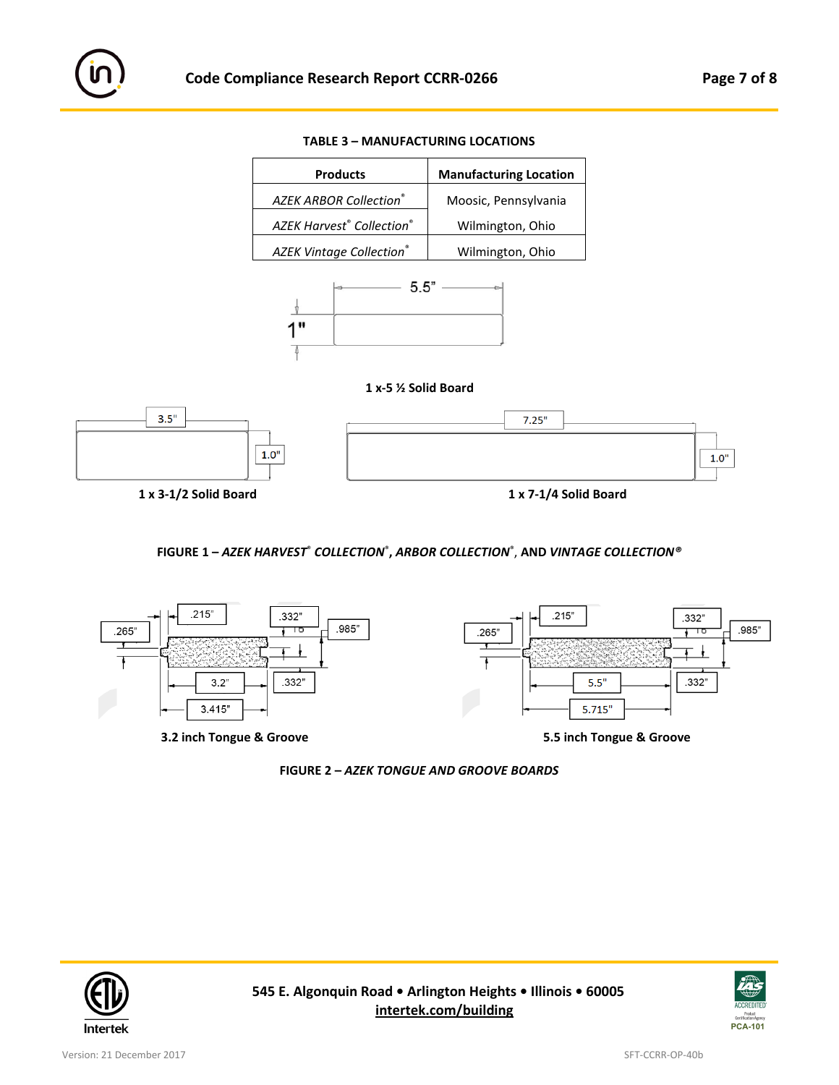









## **FIGURE 1 –** *AZEK HARVEST*® *COLLECTION*® **,** *ARBOR COLLECTION*® , **AND** *VINTAGE COLLECTION®*